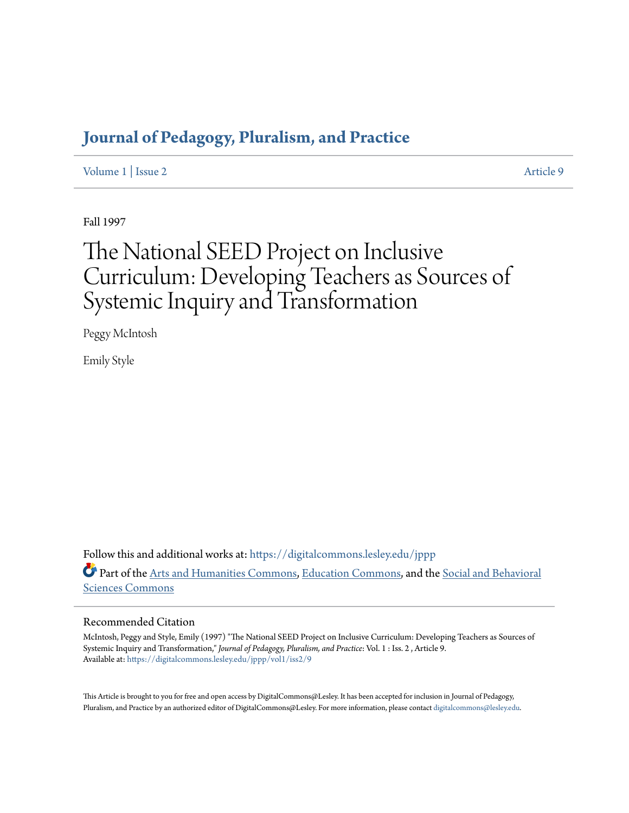### **[Journal of Pedagogy, Pluralism, and Practice](https://digitalcommons.lesley.edu/jppp?utm_source=digitalcommons.lesley.edu%2Fjppp%2Fvol1%2Fiss2%2F9&utm_medium=PDF&utm_campaign=PDFCoverPages)**

[Volume 1](https://digitalcommons.lesley.edu/jppp/vol1?utm_source=digitalcommons.lesley.edu%2Fjppp%2Fvol1%2Fiss2%2F9&utm_medium=PDF&utm_campaign=PDFCoverPages) | [Issue 2](https://digitalcommons.lesley.edu/jppp/vol1/iss2?utm_source=digitalcommons.lesley.edu%2Fjppp%2Fvol1%2Fiss2%2F9&utm_medium=PDF&utm_campaign=PDFCoverPages) [Article 9](https://digitalcommons.lesley.edu/jppp/vol1/iss2/9?utm_source=digitalcommons.lesley.edu%2Fjppp%2Fvol1%2Fiss2%2F9&utm_medium=PDF&utm_campaign=PDFCoverPages)

Fall 1997

# The National SEED Project on Inclusive Curriculum: Developing Teachers as Sources of Systemic Inquiry and Transformation

Peggy McIntosh

Emily Style

Follow this and additional works at: [https://digitalcommons.lesley.edu/jppp](https://digitalcommons.lesley.edu/jppp?utm_source=digitalcommons.lesley.edu%2Fjppp%2Fvol1%2Fiss2%2F9&utm_medium=PDF&utm_campaign=PDFCoverPages) Part of the [Arts and Humanities Commons](http://network.bepress.com/hgg/discipline/438?utm_source=digitalcommons.lesley.edu%2Fjppp%2Fvol1%2Fiss2%2F9&utm_medium=PDF&utm_campaign=PDFCoverPages), [Education Commons](http://network.bepress.com/hgg/discipline/784?utm_source=digitalcommons.lesley.edu%2Fjppp%2Fvol1%2Fiss2%2F9&utm_medium=PDF&utm_campaign=PDFCoverPages), and the [Social and Behavioral](http://network.bepress.com/hgg/discipline/316?utm_source=digitalcommons.lesley.edu%2Fjppp%2Fvol1%2Fiss2%2F9&utm_medium=PDF&utm_campaign=PDFCoverPages) [Sciences Commons](http://network.bepress.com/hgg/discipline/316?utm_source=digitalcommons.lesley.edu%2Fjppp%2Fvol1%2Fiss2%2F9&utm_medium=PDF&utm_campaign=PDFCoverPages)

#### Recommended Citation

McIntosh, Peggy and Style, Emily (1997) "The National SEED Project on Inclusive Curriculum: Developing Teachers as Sources of Systemic Inquiry and Transformation," *Journal of Pedagogy, Pluralism, and Practice*: Vol. 1 : Iss. 2 , Article 9. Available at: [https://digitalcommons.lesley.edu/jppp/vol1/iss2/9](https://digitalcommons.lesley.edu/jppp/vol1/iss2/9?utm_source=digitalcommons.lesley.edu%2Fjppp%2Fvol1%2Fiss2%2F9&utm_medium=PDF&utm_campaign=PDFCoverPages)

This Article is brought to you for free and open access by DigitalCommons@Lesley. It has been accepted for inclusion in Journal of Pedagogy, Pluralism, and Practice by an authorized editor of DigitalCommons@Lesley. For more information, please contact [digitalcommons@lesley.edu](mailto:digitalcommons@lesley.edu).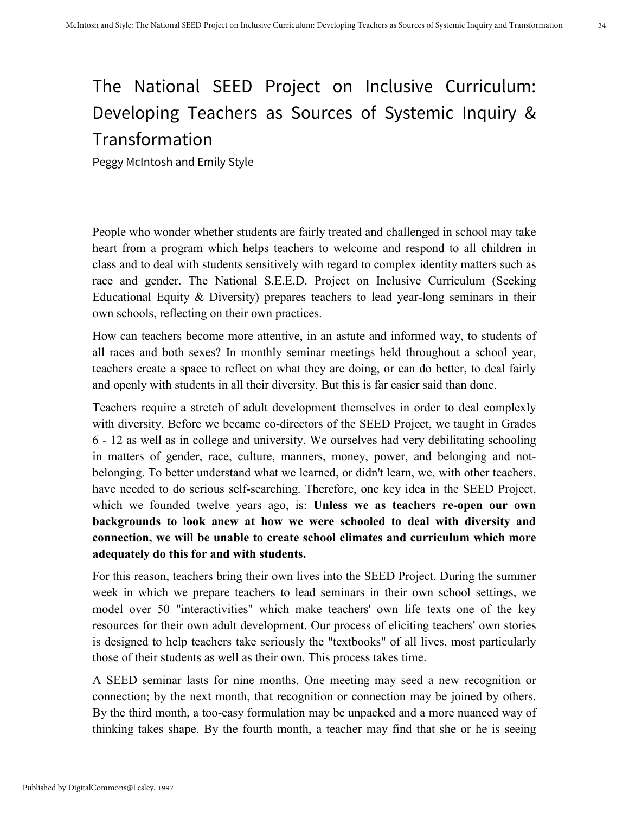## The National SEED Project on Inclusive Curriculum: Developing Teachers as Sources of Systemic Inquiry & Transformation

Peggy McIntosh and Emily Style

People who wonder whether students are fairly treated and challenged in school may take heart from a program which helps teachers to welcome and respond to all children in class and to deal with students sensitively with regard to complex identity matters such as race and gender. The National S.E.E.D. Project on Inclusive Curriculum (Seeking Educational Equity & Diversity) prepares teachers to lead year-long seminars in their own schools, reflecting on their own practices.

How can teachers become more attentive, in an astute and informed way, to students of all races and both sexes? In monthly seminar meetings held throughout a school year, teachers create a space to reflect on what they are doing, or can do better, to deal fairly and openly with students in all their diversity. But this is far easier said than done.

Teachers require a stretch of adult development themselves in order to deal complexly with diversity. Before we became co-directors of the SEED Project, we taught in Grades 6 - 12 as well as in college and university. We ourselves had very debilitating schooling in matters of gender, race, culture, manners, money, power, and belonging and notbelonging. To better understand what we learned, or didn't learn, we, with other teachers, have needed to do serious self-searching. Therefore, one key idea in the SEED Project, which we founded twelve years ago, is: **Unless we as teachers re-open our own backgrounds to look anew at how we were schooled to deal with diversity and connection, we will be unable to create school climates and curriculum which more adequately do this for and with students.**

For this reason, teachers bring their own lives into the SEED Project. During the summer week in which we prepare teachers to lead seminars in their own school settings, we model over 50 "interactivities" which make teachers' own life texts one of the key resources for their own adult development. Our process of eliciting teachers' own stories is designed to help teachers take seriously the "textbooks" of all lives, most particularly those of their students as well as their own. This process takes time.

A SEED seminar lasts for nine months. One meeting may seed a new recognition or connection; by the next month, that recognition or connection may be joined by others. By the third month, a too-easy formulation may be unpacked and a more nuanced way of thinking takes shape. By the fourth month, a teacher may find that she or he is seeing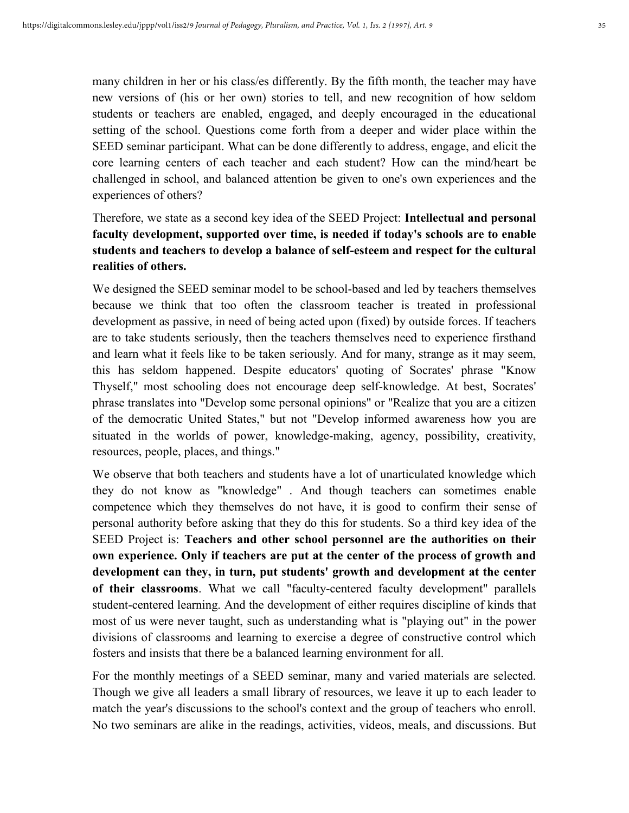many children in her or his class/es differently. By the fifth month, the teacher may have new versions of (his or her own) stories to tell, and new recognition of how seldom students or teachers are enabled, engaged, and deeply encouraged in the educational setting of the school. Questions come forth from a deeper and wider place within the SEED seminar participant. What can be done differently to address, engage, and elicit the core learning centers of each teacher and each student? How can the mind/heart be challenged in school, and balanced attention be given to one's own experiences and the experiences of others?

### Therefore, we state as a second key idea of the SEED Project: **Intellectual and personal faculty development, supported over time, is needed if today's schools are to enable students and teachers to develop a balance of self-esteem and respect for the cultural realities of others.**

We designed the SEED seminar model to be school-based and led by teachers themselves because we think that too often the classroom teacher is treated in professional development as passive, in need of being acted upon (fixed) by outside forces. If teachers are to take students seriously, then the teachers themselves need to experience firsthand and learn what it feels like to be taken seriously. And for many, strange as it may seem, this has seldom happened. Despite educators' quoting of Socrates' phrase "Know Thyself," most schooling does not encourage deep self-knowledge. At best, Socrates' phrase translates into "Develop some personal opinions" or "Realize that you are a citizen of the democratic United States," but not "Develop informed awareness how you are situated in the worlds of power, knowledge-making, agency, possibility, creativity, resources, people, places, and things."

We observe that both teachers and students have a lot of unarticulated knowledge which they do not know as "knowledge" . And though teachers can sometimes enable competence which they themselves do not have, it is good to confirm their sense of personal authority before asking that they do this for students. So a third key idea of the SEED Project is: **Teachers and other school personnel are the authorities on their own experience. Only if teachers are put at the center of the process of growth and development can they, in turn, put students' growth and development at the center of their classrooms**. What we call "faculty-centered faculty development" parallels student-centered learning. And the development of either requires discipline of kinds that most of us were never taught, such as understanding what is "playing out" in the power divisions of classrooms and learning to exercise a degree of constructive control which fosters and insists that there be a balanced learning environment for all.

For the monthly meetings of a SEED seminar, many and varied materials are selected. Though we give all leaders a small library of resources, we leave it up to each leader to match the year's discussions to the school's context and the group of teachers who enroll. No two seminars are alike in the readings, activities, videos, meals, and discussions. But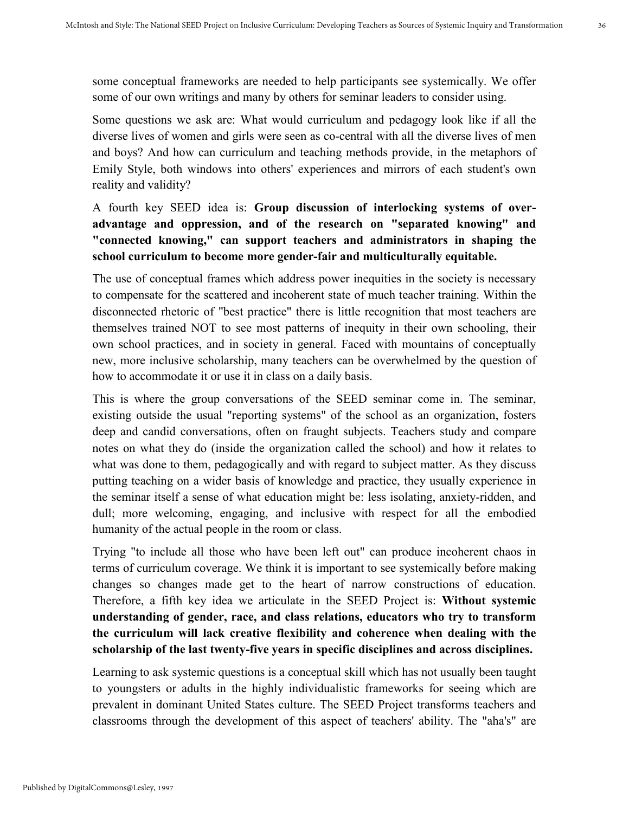some conceptual frameworks are needed to help participants see systemically. We offer some of our own writings and many by others for seminar leaders to consider using.

Some questions we ask are: What would curriculum and pedagogy look like if all the diverse lives of women and girls were seen as co-central with all the diverse lives of men and boys? And how can curriculum and teaching methods provide, in the metaphors of Emily Style, both windows into others' experiences and mirrors of each student's own reality and validity?

### A fourth key SEED idea is: **Group discussion of interlocking systems of overadvantage and oppression, and of the research on "separated knowing" and "connected knowing," can support teachers and administrators in shaping the school curriculum to become more gender-fair and multiculturally equitable.**

The use of conceptual frames which address power inequities in the society is necessary to compensate for the scattered and incoherent state of much teacher training. Within the disconnected rhetoric of "best practice" there is little recognition that most teachers are themselves trained NOT to see most patterns of inequity in their own schooling, their own school practices, and in society in general. Faced with mountains of conceptually new, more inclusive scholarship, many teachers can be overwhelmed by the question of how to accommodate it or use it in class on a daily basis.

This is where the group conversations of the SEED seminar come in. The seminar, existing outside the usual "reporting systems" of the school as an organization, fosters deep and candid conversations, often on fraught subjects. Teachers study and compare notes on what they do (inside the organization called the school) and how it relates to what was done to them, pedagogically and with regard to subject matter. As they discuss putting teaching on a wider basis of knowledge and practice, they usually experience in the seminar itself a sense of what education might be: less isolating, anxiety-ridden, and dull; more welcoming, engaging, and inclusive with respect for all the embodied humanity of the actual people in the room or class.

Trying "to include all those who have been left out" can produce incoherent chaos in terms of curriculum coverage. We think it is important to see systemically before making changes so changes made get to the heart of narrow constructions of education. Therefore, a fifth key idea we articulate in the SEED Project is: **Without systemic understanding of gender, race, and class relations, educators who try to transform the curriculum will lack creative flexibility and coherence when dealing with the scholarship of the last twenty-five years in specific disciplines and across disciplines.**

Learning to ask systemic questions is a conceptual skill which has not usually been taught to youngsters or adults in the highly individualistic frameworks for seeing which are prevalent in dominant United States culture. The SEED Project transforms teachers and classrooms through the development of this aspect of teachers' ability. The "aha's" are